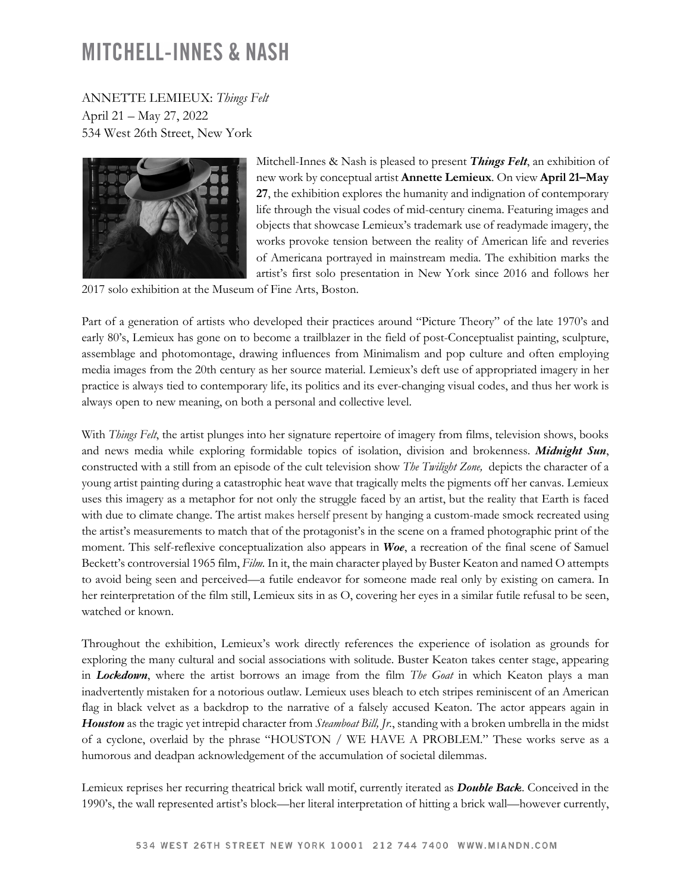## **MITCHELL-INNES & NASH**

ANNETTE LEMIEUX: *Things Felt* April 21 – May 27, 2022 534 West 26th Street, New York



Mitchell-Innes & Nash is pleased to present *Things Felt*, an exhibition of new work by conceptual artist **Annette Lemieux**. On view **April 21–May 27**, the exhibition explores the humanity and indignation of contemporary life through the visual codes of mid-century cinema. Featuring images and objects that showcase Lemieux's trademark use of readymade imagery, the works provoke tension between the reality of American life and reveries of Americana portrayed in mainstream media. The exhibition marks the artist's first solo presentation in New York since 2016 and follows her

2017 solo exhibition at the Museum of Fine Arts, Boston.

Part of a generation of artists who developed their practices around "Picture Theory" of the late 1970's and early 80's, Lemieux has gone on to become a trailblazer in the field of post-Conceptualist painting, sculpture, assemblage and photomontage, drawing influences from Minimalism and pop culture and often employing media images from the 20th century as her source material. Lemieux's deft use of appropriated imagery in her practice is always tied to contemporary life, its politics and its ever-changing visual codes, and thus her work is always open to new meaning, on both a personal and collective level.

With *Things Felt*, the artist plunges into her signature repertoire of imagery from films, television shows, books and news media while exploring formidable topics of isolation, division and brokenness. *Midnight Sun*, constructed with a still from an episode of the cult television show *The Twilight Zone,* depicts the character of a young artist painting during a catastrophic heat wave that tragically melts the pigments off her canvas. Lemieux uses this imagery as a metaphor for not only the struggle faced by an artist, but the reality that Earth is faced with due to climate change. The artist makes herself present by hanging a custom-made smock recreated using the artist's measurements to match that of the protagonist's in the scene on a framed photographic print of the moment. This self-reflexive conceptualization also appears in *Woe*, a recreation of the final scene of Samuel Beckett's controversial 1965 film, *Film.* In it, the main character played by Buster Keaton and named O attempts to avoid being seen and perceived—a futile endeavor for someone made real only by existing on camera. In her reinterpretation of the film still, Lemieux sits in as O, covering her eyes in a similar futile refusal to be seen, watched or known.

Throughout the exhibition, Lemieux's work directly references the experience of isolation as grounds for exploring the many cultural and social associations with solitude. Buster Keaton takes center stage, appearing in *Lockdown*, where the artist borrows an image from the film *The Goat* in which Keaton plays a man inadvertently mistaken for a notorious outlaw. Lemieux uses bleach to etch stripes reminiscent of an American flag in black velvet as a backdrop to the narrative of a falsely accused Keaton. The actor appears again in *Houston* as the tragic yet intrepid character from *Steamboat Bill, Jr.*, standing with a broken umbrella in the midst of a cyclone, overlaid by the phrase "HOUSTON / WE HAVE A PROBLEM." These works serve as a humorous and deadpan acknowledgement of the accumulation of societal dilemmas.

Lemieux reprises her recurring theatrical brick wall motif, currently iterated as *Double Back*. Conceived in the 1990's, the wall represented artist's block—her literal interpretation of hitting a brick wall—however currently,